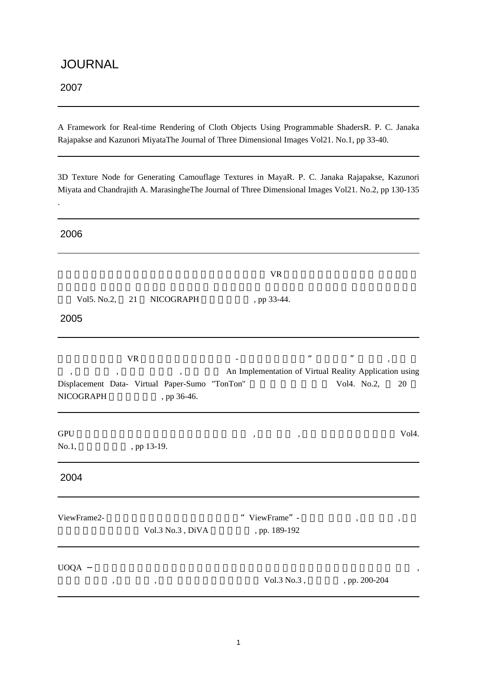### JOURNAL

2007

.

A Framework for Real-time Rendering of Cloth Objects Using Programmable ShadersR. P. C. Janaka Rajapakse and Kazunori MiyataThe Journal of Three Dimensional Images Vol21. No.1, pp 33-40.

3D Texture Node for Generating Camouflage Textures in MayaR. P. C. Janaka Rajapakse, Kazunori Miyata and Chandrajith A. MarasingheThe Journal of Three Dimensional Images Vol21. No.2, pp 130-135

2006 VR PORT CONTROLLER WAS ARRESTED FOR STRUCK.  $Vol5. No.2, 21 NICOGRAPH , pp 33-44.$ 2005  $\forall R$  - " ", An Implementation of Virtual Reality Application using Displacement Data- Virtual Paper-Sumo "TonTon" Vol4. No.2, 20 NICOGRAPH , pp 36-46.  $GPU$  ,  $Vol4$ . No.1, , pp 13-19. 2004 ViewFrame2-  $ViewFrame$  ,  $ViewFrame$  ,  $ViewFrame$ Vol.3 No.3 , DiVA , pp. 189-192  $U O Q A$  $\sqrt{61.3 \text{ No.3}}$ ,  $\sqrt{91.3 \text{ No.3}}$ ,  $\sqrt{91.3 \text{ No.3}}$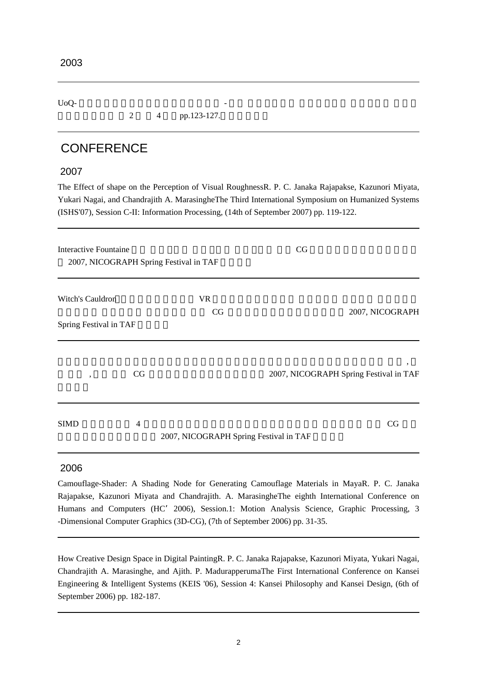UoQ- ジェスチャ認識を用いた映像体験環境 - 高橋 誠史,河原塚 有希彦,桑村 宏幸,宮田 一乘芸

 $2 \t 4 \t pp.123-127.$ 

## **CONFERENCE**

#### 2007

The Effect of shape on the Perception of Visual RoughnessR. P. C. Janaka Rajapakse, Kazunori Miyata, Yukari Nagai, and Chandrajith A. MarasingheThe Third International Symposium on Humanized Systems (ISHS'07), Session C-II: Information Processing, (14th of September 2007) pp. 119-122.

| Interactive Fountaine  |                | 2007, NICOGRAPH Spring Festival in TAF | CG                                          |  |
|------------------------|----------------|----------------------------------------|---------------------------------------------|--|
| Witch's Cauldron       |                | <b>VR</b><br>CG                        | 2007, NICOGRAPH                             |  |
| Spring Festival in TAF |                |                                        |                                             |  |
| $\cdot$                | CG             |                                        | ٠<br>2007, NICOGRAPH Spring Festival in TAF |  |
| <b>SIMD</b>            | $\overline{4}$ | 2007, NICOGRAPH Spring Festival in TAF | CG                                          |  |

#### 2006

Camouflage-Shader: A Shading Node for Generating Camouflage Materials in MayaR. P. C. Janaka Rajapakse, Kazunori Miyata and Chandrajith. A. MarasingheThe eighth International Conference on Humans and Computers (HC'2006), Session.1: Motion Analysis Science, Graphic Processing, 3 -Dimensional Computer Graphics (3D-CG), (7th of September 2006) pp. 31-35.

How Creative Design Space in Digital PaintingR. P. C. Janaka Rajapakse, Kazunori Miyata, Yukari Nagai, Chandrajith A. Marasinghe, and Ajith. P. MadurapperumaThe First International Conference on Kansei Engineering & Intelligent Systems (KEIS '06), Session 4: Kansei Philosophy and Kansei Design, (6th of September 2006) pp. 182-187.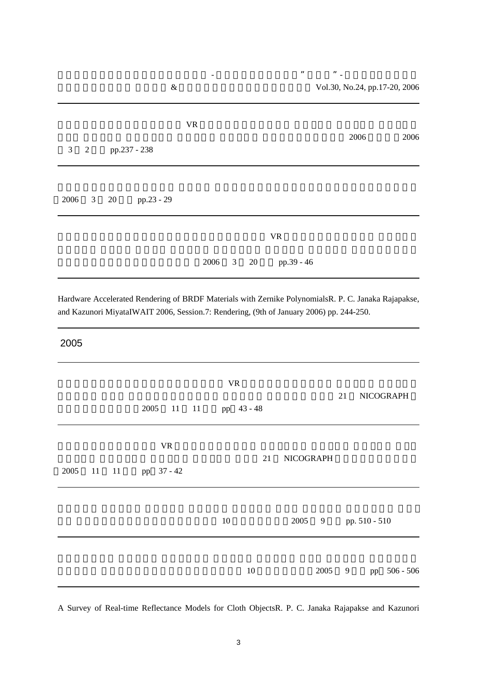| $\&$                                       |                                 | ,, | , ,<br>Vol.30, No.24, pp.17-20, 2006 |                                 |      |      |
|--------------------------------------------|---------------------------------|----|--------------------------------------|---------------------------------|------|------|
|                                            | $\ensuremath{\text{VR}}\xspace$ |    |                                      |                                 | 2006 | 2006 |
| $\mathfrak{Z}$<br>pp.237 - 238<br>2        |                                 |    |                                      |                                 |      |      |
|                                            |                                 |    |                                      |                                 |      |      |
| 3 <sup>7</sup><br>2006<br>20<br>pp.23 - 29 |                                 |    |                                      |                                 |      |      |
|                                            |                                 |    |                                      | $\ensuremath{\text{VR}}\xspace$ |      |      |
|                                            | 2006                            | 3  | 20                                   | pp.39 - 46                      |      |      |

Hardware Accelerated Rendering of BRDF Materials with Zernike PolynomialsR. P. C. Janaka Rajapakse, and Kazunori MiyataIWAIT 2006, Session.7: Rendering, (9th of January 2006) pp. 244-250.

#### 2005

|      |       | 2005<br>11 11           | <b>VR</b><br>pp 43 - 48 |        |                  |      | 21             |               | NICOGRAPH    |
|------|-------|-------------------------|-------------------------|--------|------------------|------|----------------|---------------|--------------|
| 2005 | 11 11 | <b>VR</b><br>pp 37 - 42 |                         | 21     | <b>NICOGRAPH</b> |      |                |               |              |
|      |       |                         | $10\,$                  |        | 2005             | 9    |                | pp. 510 - 510 |              |
|      |       |                         |                         | $10\,$ |                  | 2005 | $\overline{9}$ |               | pp 506 - 506 |

A Survey of Real-time Reflectance Models for Cloth ObjectsR. P. C. Janaka Rajapakse and Kazunori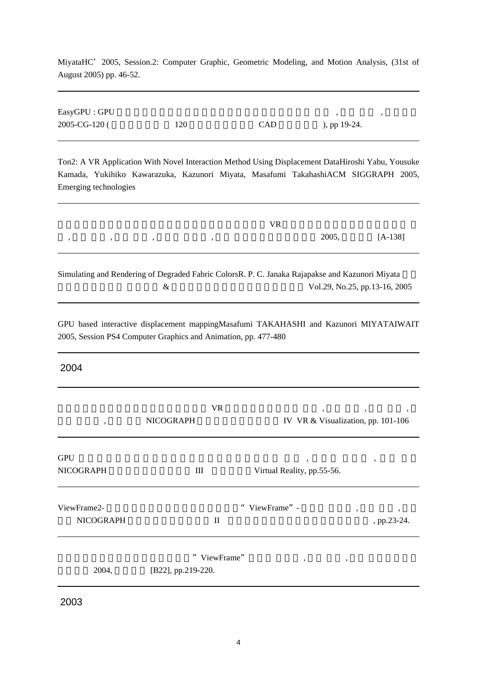MiyataHC'2005, Session.2: Computer Graphic, Geometric Modeling, and Motion Analysis, (31st of August 2005) pp. 46-52.

| EasyGPU : GPU |     |            |                 |  |
|---------------|-----|------------|-----------------|--|
| 2005-CG-120 ( | 120 | <b>CAD</b> | ), pp $19-24$ . |  |

Ton2: A VR Application With Novel Interaction Method Using Displacement DataHiroshi Yabu, Yousuke Kamada, Yukihiko Kawarazuka, Kazunori Miyata, Masafumi TakahashiACM SIGGRAPH 2005, Emerging technologies

|  |                                                                                                                 | VR |  |               |  |
|--|-----------------------------------------------------------------------------------------------------------------|----|--|---------------|--|
|  | так которым болуп караңына которы жана которы которы которы которы которым которым которым которым которым кото |    |  | 2005, [A-138] |  |
|  | Completing and Dandering of Decreeded Februa Colorel D.C. Jangles December and Vermont Mixeter                  |    |  |               |  |

Simulating and Rendering of Degraded Fabric ColorsR. P. C. Janaka Rajapakse and Kazunori Miyata  $\&$  Vol.29, No.25, pp.13-16, 2005

GPU based interactive displacement mappingMasafumi TAKAHASHI and Kazunori MIYATAIWAIT 2005, Session PS4 Computer Graphics and Animation, pp. 477-480

2004

| $\cdot$                         | VR<br><b>NICOGRAPH</b>                | $\cdot$<br>IV VR & Visualization, pp. 101-106 | $\cdot$<br>$\,$                    |
|---------------------------------|---------------------------------------|-----------------------------------------------|------------------------------------|
| <b>GPU</b><br><b>NICOGRAPH</b>  | Ш                                     | $\cdot$<br>Virtual Reality, pp.55-56.         | $, \,$                             |
| ViewFrame2-<br><b>NICOGRAPH</b> | $\mathbf{I}$                          | ViewFrame" -                                  | $\cdot$<br>$^\circ$<br>, pp.23-24. |
| 2004,                           | "<br>ViewFrame"<br>[B22], pp.219-220. | $\overline{\phantom{a}}$<br>$\bullet$         |                                    |

2003